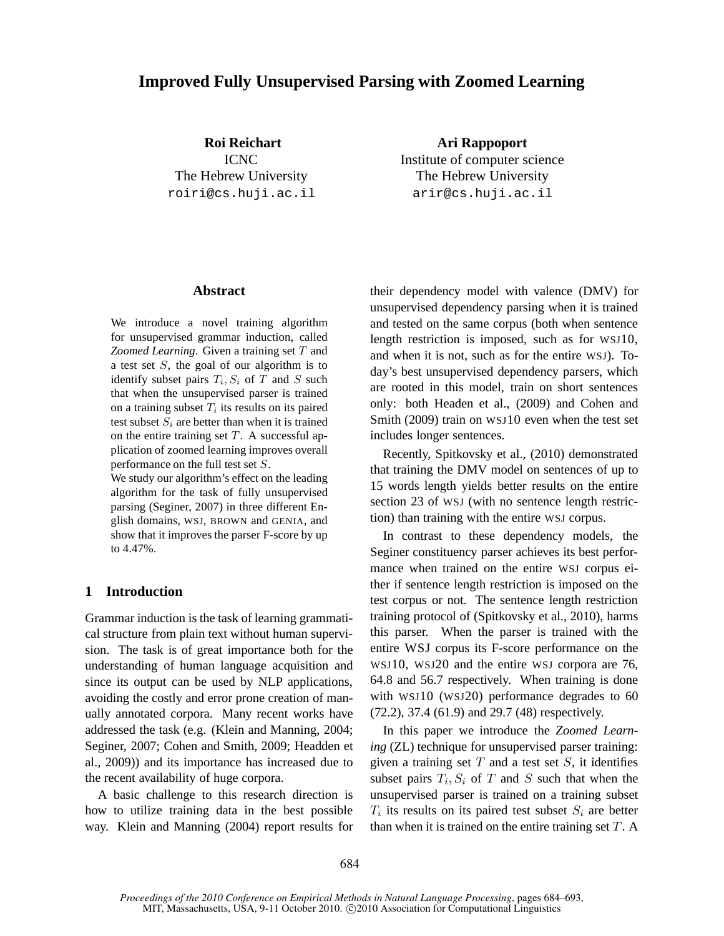# **Improved Fully Unsupervised Parsing with Zoomed Learning**

**Roi Reichart** ICNC The Hebrew University roiri@cs.huji.ac.il

**Ari Rappoport** Institute of computer science The Hebrew University arir@cs.huji.ac.il

### **Abstract**

We introduce a novel training algorithm for unsupervised grammar induction, called *Zoomed Learning*. Given a training set T and a test set  $S$ , the goal of our algorithm is to identify subset pairs  $T_i$ ,  $S_i$  of T and S such that when the unsupervised parser is trained on a training subset  $T_i$  its results on its paired test subset  $S_i$  are better than when it is trained on the entire training set  $T$ . A successful application of zoomed learning improves overall performance on the full test set S.

We study our algorithm's effect on the leading algorithm for the task of fully unsupervised parsing (Seginer, 2007) in three different English domains, WSJ, BROWN and GENIA, and show that it improves the parser F-score by up to 4.47%.

## **1 Introduction**

Grammar induction is the task of learning grammatical structure from plain text without human supervision. The task is of great importance both for the understanding of human language acquisition and since its output can be used by NLP applications, avoiding the costly and error prone creation of manually annotated corpora. Many recent works have addressed the task (e.g. (Klein and Manning, 2004; Seginer, 2007; Cohen and Smith, 2009; Headden et al., 2009)) and its importance has increased due to the recent availability of huge corpora.

A basic challenge to this research direction is how to utilize training data in the best possible way. Klein and Manning (2004) report results for their dependency model with valence (DMV) for unsupervised dependency parsing when it is trained and tested on the same corpus (both when sentence length restriction is imposed, such as for WSJ10, and when it is not, such as for the entire WSJ). Today's best unsupervised dependency parsers, which are rooted in this model, train on short sentences only: both Headen et al., (2009) and Cohen and Smith (2009) train on WSJ10 even when the test set includes longer sentences.

Recently, Spitkovsky et al., (2010) demonstrated that training the DMV model on sentences of up to 15 words length yields better results on the entire section 23 of WSJ (with no sentence length restriction) than training with the entire WSJ corpus.

In contrast to these dependency models, the Seginer constituency parser achieves its best performance when trained on the entire WSJ corpus either if sentence length restriction is imposed on the test corpus or not. The sentence length restriction training protocol of (Spitkovsky et al., 2010), harms this parser. When the parser is trained with the entire WSJ corpus its F-score performance on the WSJ10, WSJ20 and the entire WSJ corpora are 76, 64.8 and 56.7 respectively. When training is done with WSJ10 (WSJ20) performance degrades to 60 (72.2), 37.4 (61.9) and 29.7 (48) respectively.

In this paper we introduce the *Zoomed Learning* (ZL) technique for unsupervised parser training: given a training set  $T$  and a test set  $S$ , it identifies subset pairs  $T_i$ ,  $S_i$  of T and S such that when the unsupervised parser is trained on a training subset  $T_i$  its results on its paired test subset  $S_i$  are better than when it is trained on the entire training set  $T$ . A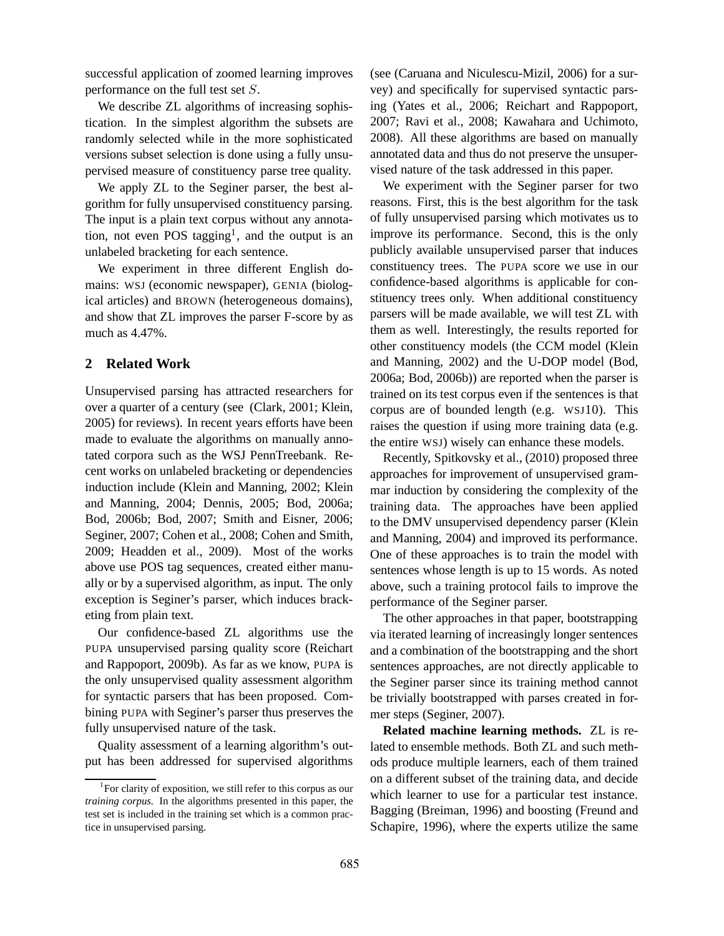successful application of zoomed learning improves performance on the full test set S.

We describe ZL algorithms of increasing sophistication. In the simplest algorithm the subsets are randomly selected while in the more sophisticated versions subset selection is done using a fully unsupervised measure of constituency parse tree quality.

We apply ZL to the Seginer parser, the best algorithm for fully unsupervised constituency parsing. The input is a plain text corpus without any annotation, not even POS tagging<sup>1</sup>, and the output is an unlabeled bracketing for each sentence.

We experiment in three different English domains: WSJ (economic newspaper), GENIA (biological articles) and BROWN (heterogeneous domains), and show that ZL improves the parser F-score by as much as 4.47%.

## **2 Related Work**

Unsupervised parsing has attracted researchers for over a quarter of a century (see (Clark, 2001; Klein, 2005) for reviews). In recent years efforts have been made to evaluate the algorithms on manually annotated corpora such as the WSJ PennTreebank. Recent works on unlabeled bracketing or dependencies induction include (Klein and Manning, 2002; Klein and Manning, 2004; Dennis, 2005; Bod, 2006a; Bod, 2006b; Bod, 2007; Smith and Eisner, 2006; Seginer, 2007; Cohen et al., 2008; Cohen and Smith, 2009; Headden et al., 2009). Most of the works above use POS tag sequences, created either manually or by a supervised algorithm, as input. The only exception is Seginer's parser, which induces bracketing from plain text.

Our confidence-based ZL algorithms use the PUPA unsupervised parsing quality score (Reichart and Rappoport, 2009b). As far as we know, PUPA is the only unsupervised quality assessment algorithm for syntactic parsers that has been proposed. Combining PUPA with Seginer's parser thus preserves the fully unsupervised nature of the task.

Quality assessment of a learning algorithm's output has been addressed for supervised algorithms (see (Caruana and Niculescu-Mizil, 2006) for a survey) and specifically for supervised syntactic parsing (Yates et al., 2006; Reichart and Rappoport, 2007; Ravi et al., 2008; Kawahara and Uchimoto, 2008). All these algorithms are based on manually annotated data and thus do not preserve the unsupervised nature of the task addressed in this paper.

We experiment with the Seginer parser for two reasons. First, this is the best algorithm for the task of fully unsupervised parsing which motivates us to improve its performance. Second, this is the only publicly available unsupervised parser that induces constituency trees. The PUPA score we use in our confidence-based algorithms is applicable for constituency trees only. When additional constituency parsers will be made available, we will test ZL with them as well. Interestingly, the results reported for other constituency models (the CCM model (Klein and Manning, 2002) and the U-DOP model (Bod, 2006a; Bod, 2006b)) are reported when the parser is trained on its test corpus even if the sentences is that corpus are of bounded length (e.g. WSJ10). This raises the question if using more training data (e.g. the entire WSJ) wisely can enhance these models.

Recently, Spitkovsky et al., (2010) proposed three approaches for improvement of unsupervised grammar induction by considering the complexity of the training data. The approaches have been applied to the DMV unsupervised dependency parser (Klein and Manning, 2004) and improved its performance. One of these approaches is to train the model with sentences whose length is up to 15 words. As noted above, such a training protocol fails to improve the performance of the Seginer parser.

The other approaches in that paper, bootstrapping via iterated learning of increasingly longer sentences and a combination of the bootstrapping and the short sentences approaches, are not directly applicable to the Seginer parser since its training method cannot be trivially bootstrapped with parses created in former steps (Seginer, 2007).

**Related machine learning methods.** ZL is related to ensemble methods. Both ZL and such methods produce multiple learners, each of them trained on a different subset of the training data, and decide which learner to use for a particular test instance. Bagging (Breiman, 1996) and boosting (Freund and Schapire, 1996), where the experts utilize the same

<sup>1</sup> For clarity of exposition, we still refer to this corpus as our *training corpus.* In the algorithms presented in this paper, the test set is included in the training set which is a common practice in unsupervised parsing.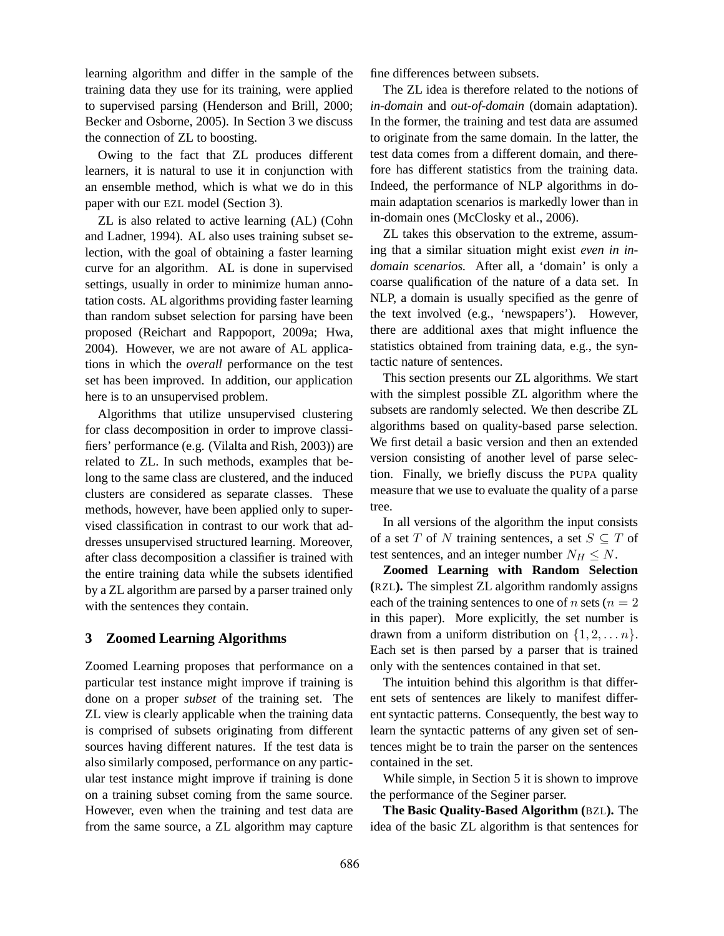learning algorithm and differ in the sample of the training data they use for its training, were applied to supervised parsing (Henderson and Brill, 2000; Becker and Osborne, 2005). In Section 3 we discuss the connection of ZL to boosting.

Owing to the fact that ZL produces different learners, it is natural to use it in conjunction with an ensemble method, which is what we do in this paper with our EZL model (Section 3).

ZL is also related to active learning (AL) (Cohn and Ladner, 1994). AL also uses training subset selection, with the goal of obtaining a faster learning curve for an algorithm. AL is done in supervised settings, usually in order to minimize human annotation costs. AL algorithms providing faster learning than random subset selection for parsing have been proposed (Reichart and Rappoport, 2009a; Hwa, 2004). However, we are not aware of AL applications in which the *overall* performance on the test set has been improved. In addition, our application here is to an unsupervised problem.

Algorithms that utilize unsupervised clustering for class decomposition in order to improve classifiers' performance (e.g. (Vilalta and Rish, 2003)) are related to ZL. In such methods, examples that belong to the same class are clustered, and the induced clusters are considered as separate classes. These methods, however, have been applied only to supervised classification in contrast to our work that addresses unsupervised structured learning. Moreover, after class decomposition a classifier is trained with the entire training data while the subsets identified by a ZL algorithm are parsed by a parser trained only with the sentences they contain.

### **3 Zoomed Learning Algorithms**

Zoomed Learning proposes that performance on a particular test instance might improve if training is done on a proper *subset* of the training set. The ZL view is clearly applicable when the training data is comprised of subsets originating from different sources having different natures. If the test data is also similarly composed, performance on any particular test instance might improve if training is done on a training subset coming from the same source. However, even when the training and test data are from the same source, a ZL algorithm may capture

fine differences between subsets.

The ZL idea is therefore related to the notions of *in-domain* and *out-of-domain* (domain adaptation). In the former, the training and test data are assumed to originate from the same domain. In the latter, the test data comes from a different domain, and therefore has different statistics from the training data. Indeed, the performance of NLP algorithms in domain adaptation scenarios is markedly lower than in in-domain ones (McClosky et al., 2006).

ZL takes this observation to the extreme, assuming that a similar situation might exist *even in indomain scenarios.* After all, a 'domain' is only a coarse qualification of the nature of a data set. In NLP, a domain is usually specified as the genre of the text involved (e.g., 'newspapers'). However, there are additional axes that might influence the statistics obtained from training data, e.g., the syntactic nature of sentences.

This section presents our ZL algorithms. We start with the simplest possible ZL algorithm where the subsets are randomly selected. We then describe ZL algorithms based on quality-based parse selection. We first detail a basic version and then an extended version consisting of another level of parse selection. Finally, we briefly discuss the PUPA quality measure that we use to evaluate the quality of a parse tree.

In all versions of the algorithm the input consists of a set T of N training sentences, a set  $S \subseteq T$  of test sentences, and an integer number  $N_H \leq N$ .

**Zoomed Learning with Random Selection (**RZL**).** The simplest ZL algorithm randomly assigns each of the training sentences to one of n sets ( $n = 2$ ) in this paper). More explicitly, the set number is drawn from a uniform distribution on  $\{1, 2, \ldots n\}$ . Each set is then parsed by a parser that is trained only with the sentences contained in that set.

The intuition behind this algorithm is that different sets of sentences are likely to manifest different syntactic patterns. Consequently, the best way to learn the syntactic patterns of any given set of sentences might be to train the parser on the sentences contained in the set.

While simple, in Section 5 it is shown to improve the performance of the Seginer parser.

**The Basic Quality-Based Algorithm (**BZL**).** The idea of the basic ZL algorithm is that sentences for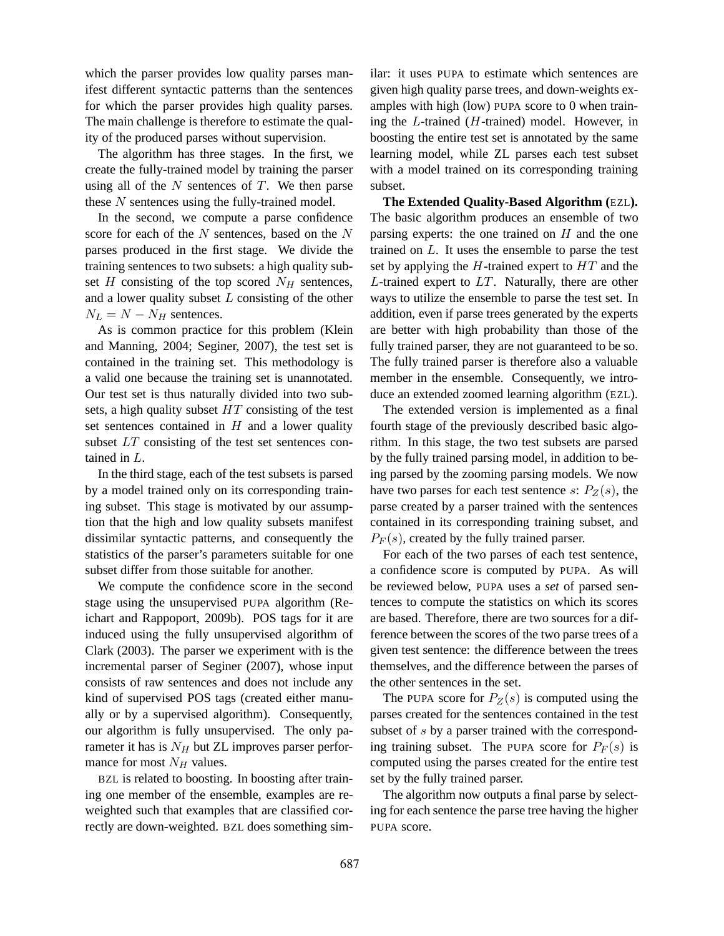which the parser provides low quality parses manifest different syntactic patterns than the sentences for which the parser provides high quality parses. The main challenge is therefore to estimate the quality of the produced parses without supervision.

The algorithm has three stages. In the first, we create the fully-trained model by training the parser using all of the  $N$  sentences of  $T$ . We then parse these N sentences using the fully-trained model.

In the second, we compute a parse confidence score for each of the  $N$  sentences, based on the  $N$ parses produced in the first stage. We divide the training sentences to two subsets: a high quality subset H consisting of the top scored  $N_H$  sentences, and a lower quality subset  $L$  consisting of the other  $N_L = N - N_H$  sentences.

As is common practice for this problem (Klein and Manning, 2004; Seginer, 2007), the test set is contained in the training set. This methodology is a valid one because the training set is unannotated. Our test set is thus naturally divided into two subsets, a high quality subset  $HT$  consisting of the test set sentences contained in  $H$  and a lower quality subset LT consisting of the test set sentences contained in L.

In the third stage, each of the test subsets is parsed by a model trained only on its corresponding training subset. This stage is motivated by our assumption that the high and low quality subsets manifest dissimilar syntactic patterns, and consequently the statistics of the parser's parameters suitable for one subset differ from those suitable for another.

We compute the confidence score in the second stage using the unsupervised PUPA algorithm (Reichart and Rappoport, 2009b). POS tags for it are induced using the fully unsupervised algorithm of Clark (2003). The parser we experiment with is the incremental parser of Seginer (2007), whose input consists of raw sentences and does not include any kind of supervised POS tags (created either manually or by a supervised algorithm). Consequently, our algorithm is fully unsupervised. The only parameter it has is  $N_H$  but ZL improves parser performance for most  $N_H$  values.

BZL is related to boosting. In boosting after training one member of the ensemble, examples are reweighted such that examples that are classified correctly are down-weighted. BZL does something similar: it uses PUPA to estimate which sentences are given high quality parse trees, and down-weights examples with high (low) PUPA score to 0 when training the L-trained (H-trained) model. However, in boosting the entire test set is annotated by the same learning model, while ZL parses each test subset with a model trained on its corresponding training subset.

**The Extended Quality-Based Algorithm (**EZL**).** The basic algorithm produces an ensemble of two parsing experts: the one trained on  $H$  and the one trained on  $L$ . It uses the ensemble to parse the test set by applying the  $H$ -trained expert to  $HT$  and the  $L$ -trained expert to  $LT$ . Naturally, there are other ways to utilize the ensemble to parse the test set. In addition, even if parse trees generated by the experts are better with high probability than those of the fully trained parser, they are not guaranteed to be so. The fully trained parser is therefore also a valuable member in the ensemble. Consequently, we introduce an extended zoomed learning algorithm (EZL).

The extended version is implemented as a final fourth stage of the previously described basic algorithm. In this stage, the two test subsets are parsed by the fully trained parsing model, in addition to being parsed by the zooming parsing models. We now have two parses for each test sentence s:  $P_Z(s)$ , the parse created by a parser trained with the sentences contained in its corresponding training subset, and  $P_F(s)$ , created by the fully trained parser.

For each of the two parses of each test sentence, a confidence score is computed by PUPA. As will be reviewed below, PUPA uses a *set* of parsed sentences to compute the statistics on which its scores are based. Therefore, there are two sources for a difference between the scores of the two parse trees of a given test sentence: the difference between the trees themselves, and the difference between the parses of the other sentences in the set.

The PUPA score for  $P_Z(s)$  is computed using the parses created for the sentences contained in the test subset of s by a parser trained with the corresponding training subset. The PUPA score for  $P_F(s)$  is computed using the parses created for the entire test set by the fully trained parser.

The algorithm now outputs a final parse by selecting for each sentence the parse tree having the higher PUPA score.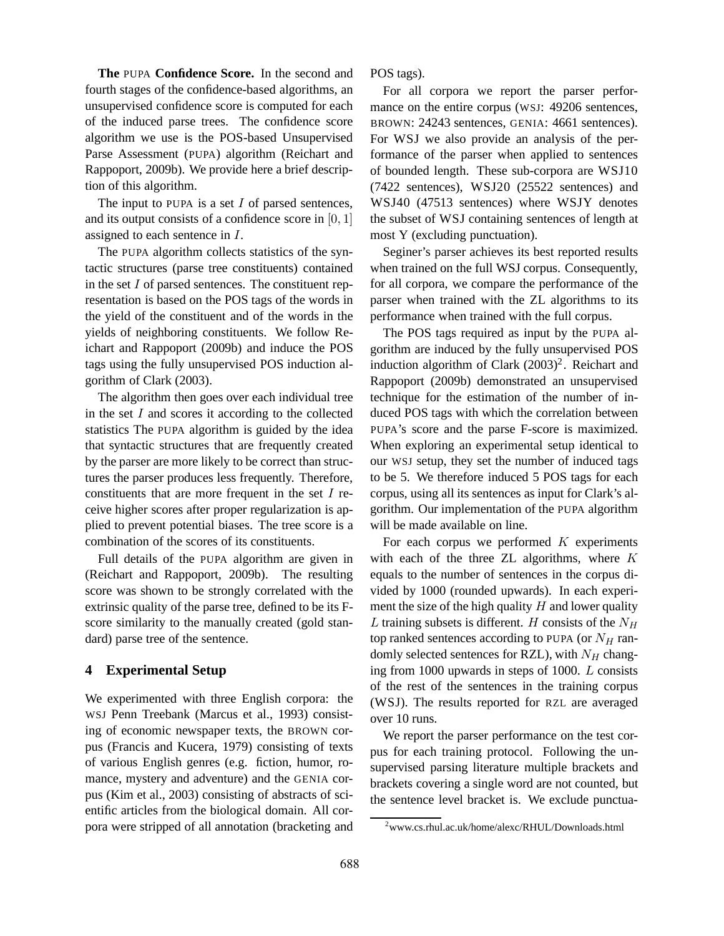**The** PUPA **Confidence Score.** In the second and fourth stages of the confidence-based algorithms, an unsupervised confidence score is computed for each of the induced parse trees. The confidence score algorithm we use is the POS-based Unsupervised Parse Assessment (PUPA) algorithm (Reichart and Rappoport, 2009b). We provide here a brief description of this algorithm.

The input to PUPA is a set  $I$  of parsed sentences, and its output consists of a confidence score in  $[0, 1]$ assigned to each sentence in I.

The PUPA algorithm collects statistics of the syntactic structures (parse tree constituents) contained in the set  $I$  of parsed sentences. The constituent representation is based on the POS tags of the words in the yield of the constituent and of the words in the yields of neighboring constituents. We follow Reichart and Rappoport (2009b) and induce the POS tags using the fully unsupervised POS induction algorithm of Clark (2003).

The algorithm then goes over each individual tree in the set  $I$  and scores it according to the collected statistics The PUPA algorithm is guided by the idea that syntactic structures that are frequently created by the parser are more likely to be correct than structures the parser produces less frequently. Therefore, constituents that are more frequent in the set  $I$  receive higher scores after proper regularization is applied to prevent potential biases. The tree score is a combination of the scores of its constituents.

Full details of the PUPA algorithm are given in (Reichart and Rappoport, 2009b). The resulting score was shown to be strongly correlated with the extrinsic quality of the parse tree, defined to be its Fscore similarity to the manually created (gold standard) parse tree of the sentence.

## **4 Experimental Setup**

We experimented with three English corpora: the WSJ Penn Treebank (Marcus et al., 1993) consisting of economic newspaper texts, the BROWN corpus (Francis and Kucera, 1979) consisting of texts of various English genres (e.g. fiction, humor, romance, mystery and adventure) and the GENIA corpus (Kim et al., 2003) consisting of abstracts of scientific articles from the biological domain. All corpora were stripped of all annotation (bracketing and POS tags).

For all corpora we report the parser performance on the entire corpus (WSJ: 49206 sentences, BROWN: 24243 sentences, GENIA: 4661 sentences). For WSJ we also provide an analysis of the performance of the parser when applied to sentences of bounded length. These sub-corpora are WSJ10 (7422 sentences), WSJ20 (25522 sentences) and WSJ40 (47513 sentences) where WSJY denotes the subset of WSJ containing sentences of length at most Y (excluding punctuation).

Seginer's parser achieves its best reported results when trained on the full WSJ corpus. Consequently, for all corpora, we compare the performance of the parser when trained with the ZL algorithms to its performance when trained with the full corpus.

The POS tags required as input by the PUPA algorithm are induced by the fully unsupervised POS induction algorithm of Clark  $(2003)^2$ . Reichart and Rappoport (2009b) demonstrated an unsupervised technique for the estimation of the number of induced POS tags with which the correlation between PUPA's score and the parse F-score is maximized. When exploring an experimental setup identical to our WSJ setup, they set the number of induced tags to be 5. We therefore induced 5 POS tags for each corpus, using all its sentences as input for Clark's algorithm. Our implementation of the PUPA algorithm will be made available on line.

For each corpus we performed  $K$  experiments with each of the three ZL algorithms, where  $K$ equals to the number of sentences in the corpus divided by 1000 (rounded upwards). In each experiment the size of the high quality  $H$  and lower quality L training subsets is different. H consists of the  $N_H$ top ranked sentences according to PUPA (or  $N_H$  randomly selected sentences for RZL), with  $N_H$  changing from 1000 upwards in steps of 1000. L consists of the rest of the sentences in the training corpus (WSJ). The results reported for RZL are averaged over 10 runs.

We report the parser performance on the test corpus for each training protocol. Following the unsupervised parsing literature multiple brackets and brackets covering a single word are not counted, but the sentence level bracket is. We exclude punctua-

<sup>2</sup>www.cs.rhul.ac.uk/home/alexc/RHUL/Downloads.html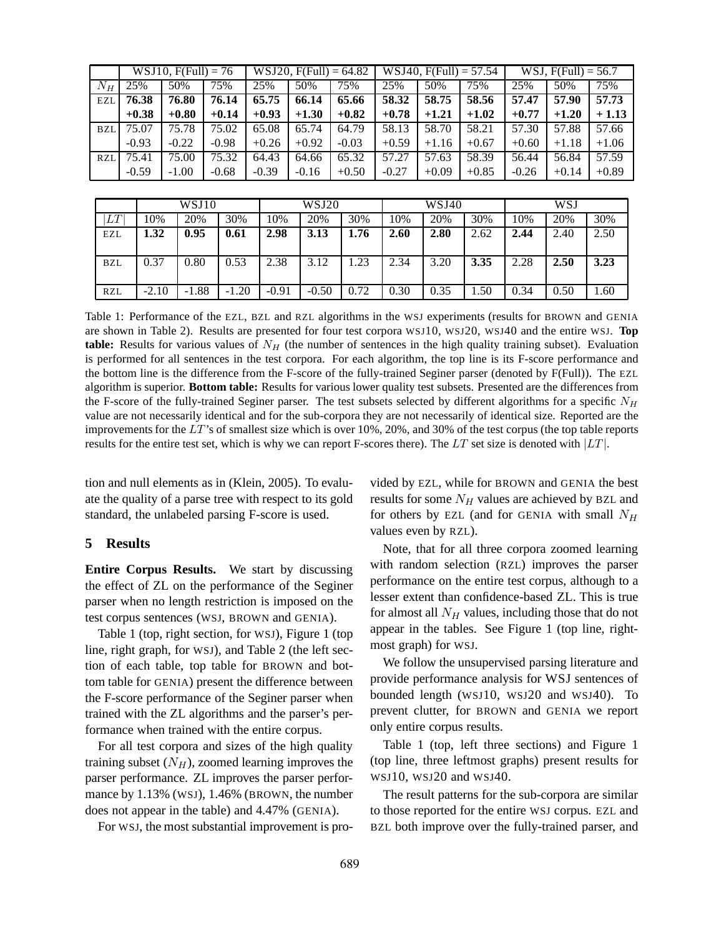|            |         | $WSJ10, F(Full) = 76$ |         | $WSJ20, F(Full) = 64.82$ |         |         |         | $WSJ40, F(Full) = 57.54$ |         | WSJ, $F$ (Full) = 56.7 |         |         |
|------------|---------|-----------------------|---------|--------------------------|---------|---------|---------|--------------------------|---------|------------------------|---------|---------|
| $N_H$      | 25%     | 50%                   | $75\%$  | 25%                      | 50%     | $75\%$  | 25%     | 50%                      | 75%     | 25%                    | 50%     | 75%     |
| EZL        | 76.38   | 76.80                 | 76.14   | 65.75                    | 66.14   | 65.66   | 58.32   | 58.75                    | 58.56   | 57.47                  | 57.90   | 57.73   |
|            | $+0.38$ | $+0.80$               | $+0.14$ | $+0.93$                  | $+1.30$ | $+0.82$ | $+0.78$ | $+1.21$                  | $+1.02$ | $+0.77$                | $+1.20$ | $+1.13$ |
| <b>BZL</b> | 75.07   | 75.78                 | 75.02   | 65.08                    | 65.74   | 64.79   | 58.13   | 58.70                    | 58.21   | 57.30                  | 57.88   | 57.66   |
|            | $-0.93$ | $-0.22$               | $-0.98$ | $+0.26$                  | $+0.92$ | $-0.03$ | $+0.59$ | $+1.16$                  | $+0.67$ | $+0.60$                | $+1.18$ | $+1.06$ |
| RZL        | 75.41   | 75.00                 | 75.32   | 64.43                    | 64.66   | 65.32   | 57.27   | 57.63                    | 58.39   | 56.44                  | 56.84   | 57.59   |
|            | $-0.59$ | $-1.00$               | $-0.68$ | $-0.39$                  | $-0.16$ | $+0.50$ | $-0.27$ | $+0.09$                  | $+0.85$ | $-0.26$                | $+0.14$ | $+0.89$ |

|            | WSJ10   |         |         | WSJ20   |         |      |      | WSJ40 |      | <b>WSJ</b> |      |      |
|------------|---------|---------|---------|---------|---------|------|------|-------|------|------------|------|------|
| LΤ         | 10%     | 20%     | 30%     | 10%     | 20%     | 30%  | 10%  | 20%   | 30%  | 10%        | 20%  | 30%  |
| EZL        | 1.32    | 0.95    | 0.61    | 2.98    | 3.13    | 1.76 | 2.60 | 2.80  | 2.62 | 2.44       | 2.40 | 2.50 |
| <b>BZL</b> | 0.37    | 0.80    | 0.53    | 2.38    | 3.12    | .23  | 2.34 | 3.20  | 3.35 | 2.28       | 2.50 | 3.23 |
| <b>RZL</b> | $-2.10$ | $-1.88$ | $-1.20$ | $-0.91$ | $-0.50$ | 0.72 | 0.30 | 0.35  | 1.50 | 0.34       | 0.50 | 0.60 |

Table 1: Performance of the EZL, BZL and RZL algorithms in the WSJ experiments (results for BROWN and GENIA are shown in Table 2). Results are presented for four test corpora WSJ10, WSJ20, WSJ40 and the entire WSJ. **Top table:** Results for various values of  $N_H$  (the number of sentences in the high quality training subset). Evaluation is performed for all sentences in the test corpora. For each algorithm, the top line is its F-score performance and the bottom line is the difference from the F-score of the fully-trained Seginer parser (denoted by F(Full)). The EZL algorithm is superior. **Bottom table:** Results for various lower quality test subsets. Presented are the differences from the F-score of the fully-trained Seginer parser. The test subsets selected by different algorithms for a specific  $N_H$ value are not necessarily identical and for the sub-corpora they are not necessarily of identical size. Reported are the improvements for the LT 's of smallest size which is over 10%, 20%, and 30% of the test corpus (the top table reports results for the entire test set, which is why we can report F-scores there). The LT set size is denoted with  $|LT|$ .

tion and null elements as in (Klein, 2005). To evaluate the quality of a parse tree with respect to its gold standard, the unlabeled parsing F-score is used.

#### **5 Results**

**Entire Corpus Results.** We start by discussing the effect of ZL on the performance of the Seginer parser when no length restriction is imposed on the test corpus sentences (WSJ, BROWN and GENIA).

Table 1 (top, right section, for WSJ), Figure 1 (top line, right graph, for WSJ), and Table 2 (the left section of each table, top table for BROWN and bottom table for GENIA) present the difference between the F-score performance of the Seginer parser when trained with the ZL algorithms and the parser's performance when trained with the entire corpus.

For all test corpora and sizes of the high quality training subset  $(N_H)$ , zoomed learning improves the parser performance. ZL improves the parser performance by 1.13% (WSJ), 1.46% (BROWN, the number does not appear in the table) and 4.47% (GENIA).

For WSJ, the most substantial improvement is pro-

vided by EZL, while for BROWN and GENIA the best results for some  $N_H$  values are achieved by BZL and for others by EZL (and for GENIA with small  $N_H$ values even by RZL).

Note, that for all three corpora zoomed learning with random selection (RZL) improves the parser performance on the entire test corpus, although to a lesser extent than confidence-based ZL. This is true for almost all  $N_H$  values, including those that do not appear in the tables. See Figure 1 (top line, rightmost graph) for WSJ.

We follow the unsupervised parsing literature and provide performance analysis for WSJ sentences of bounded length (WSJ10, WSJ20 and WSJ40). To prevent clutter, for BROWN and GENIA we report only entire corpus results.

Table 1 (top, left three sections) and Figure 1 (top line, three leftmost graphs) present results for WSJ10, WSJ20 and WSJ40.

The result patterns for the sub-corpora are similar to those reported for the entire WSJ corpus. EZL and BZL both improve over the fully-trained parser, and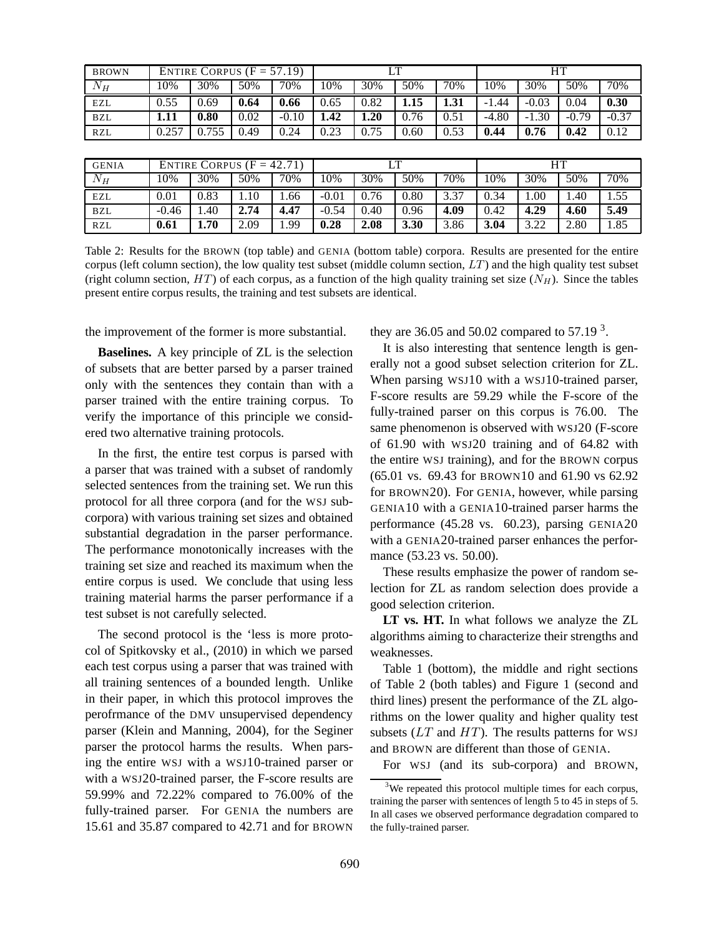| <b>BROWN</b> |       | ENTIRE CORPUS $(F = 57.19)$ |      |         |         |      | LT   |      | HТ      |         |         |         |
|--------------|-------|-----------------------------|------|---------|---------|------|------|------|---------|---------|---------|---------|
| $N_H$        | 10%   | 30%                         | 50%  | 70%     | 10%     | 30%  | 50%  | 70%  | 10%     | 30%     | 50%     | $70\%$  |
| <b>EZL</b>   | 0.55  | 0.69                        | 0.64 | 0.66    | 0.65    | 0.82 | 1.15 | 1.31 | $-1.44$ | $-0.03$ | 0.04    | 0.30    |
| <b>BZL</b>   | 1.11  | 0.80                        | 0.02 | $-0.10$ | 1.42    | 1.20 | 0.76 | 0.51 | $-4.80$ | $-1.30$ | $-0.79$ | $-0.37$ |
| <b>RZL</b>   | 0.257 | 0.755                       | 0.49 | 0.24    | 0.23    | 0.75 | 0.60 | 0.53 | 0.44    | 0.76    | 0.42    | 0.12    |
|              |       |                             |      |         |         |      |      |      |         |         |         |         |
| <b>GENIA</b> |       | ENTIRE CORPUS $(F = 42.71)$ |      |         |         |      | LТ   |      | HТ      |         |         |         |
| $N_H$        | 10%   | 30%                         | 50%  | 70%     | 10%     | 30%  | 50%  | 70%  | 10%     | 30%     | 50%     | 70%     |
| EZL          | 0.01  | 0.83                        | 1.10 | 1.66    | $-0.01$ | 0.76 | 0.80 | 3.37 | 0.34    | .00.    | 1.40    | .55     |

Table 2: Results for the BROWN (top table) and GENIA (bottom table) corpora. Results are presented for the entire corpus (left column section), the low quality test subset (middle column section,  $LT$ ) and the high quality test subset (right column section,  $HT$ ) of each corpus, as a function of the high quality training set size  $(N_H)$ . Since the tables present entire corpus results, the training and test subsets are identical.

BZL -0.46 1.40 **2.74 4.47** -0.54 0.40 0.96 **4.09** 0.42 **4.29 4.60 5.49** RZL **0.61 1.70** 2.09 1.99 **0.28 2.08 3.30** 3.86 **3.04** 3.22 2.80 1.85

the improvement of the former is more substantial.

**Baselines.** A key principle of ZL is the selection of subsets that are better parsed by a parser trained only with the sentences they contain than with a parser trained with the entire training corpus. To verify the importance of this principle we considered two alternative training protocols.

In the first, the entire test corpus is parsed with a parser that was trained with a subset of randomly selected sentences from the training set. We run this protocol for all three corpora (and for the WSJ subcorpora) with various training set sizes and obtained substantial degradation in the parser performance. The performance monotonically increases with the training set size and reached its maximum when the entire corpus is used. We conclude that using less training material harms the parser performance if a test subset is not carefully selected.

The second protocol is the 'less is more protocol of Spitkovsky et al., (2010) in which we parsed each test corpus using a parser that was trained with all training sentences of a bounded length. Unlike in their paper, in which this protocol improves the perofrmance of the DMV unsupervised dependency parser (Klein and Manning, 2004), for the Seginer parser the protocol harms the results. When parsing the entire WSJ with a WSJ10-trained parser or with a WSJ20-trained parser, the F-score results are 59.99% and 72.22% compared to 76.00% of the fully-trained parser. For GENIA the numbers are 15.61 and 35.87 compared to 42.71 and for BROWN they are 36.05 and 50.02 compared to  $57.19<sup>3</sup>$ .

It is also interesting that sentence length is generally not a good subset selection criterion for ZL. When parsing WSJ10 with a WSJ10-trained parser, F-score results are 59.29 while the F-score of the fully-trained parser on this corpus is 76.00. The same phenomenon is observed with WSJ20 (F-score of 61.90 with WSJ20 training and of 64.82 with the entire WSJ training), and for the BROWN corpus (65.01 vs. 69.43 for BROWN10 and 61.90 vs 62.92 for BROWN20). For GENIA, however, while parsing GENIA10 with a GENIA10-trained parser harms the performance (45.28 vs. 60.23), parsing GENIA20 with a GENIA20-trained parser enhances the performance (53.23 vs. 50.00).

These results emphasize the power of random selection for ZL as random selection does provide a good selection criterion.

**LT vs. HT.** In what follows we analyze the ZL algorithms aiming to characterize their strengths and weaknesses.

Table 1 (bottom), the middle and right sections of Table 2 (both tables) and Figure 1 (second and third lines) present the performance of the ZL algorithms on the lower quality and higher quality test subsets  $(LT$  and  $HT)$ . The results patterns for WSJ and BROWN are different than those of GENIA.

For WSJ (and its sub-corpora) and BROWN,

<sup>&</sup>lt;sup>3</sup>We repeated this protocol multiple times for each corpus, training the parser with sentences of length 5 to 45 in steps of 5. In all cases we observed performance degradation compared to the fully-trained parser.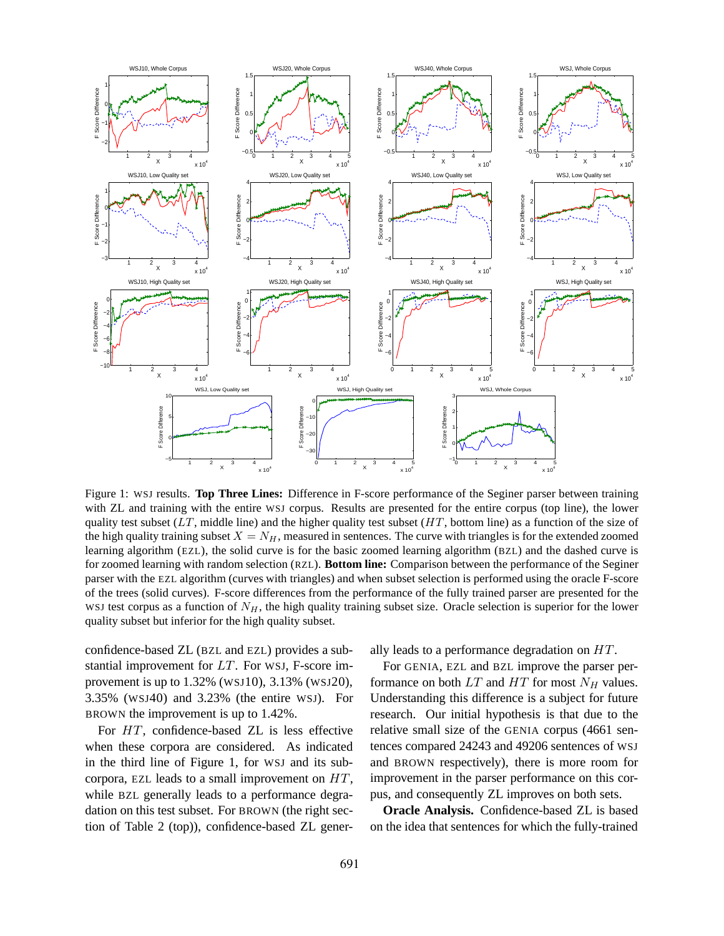

Figure 1: WSJ results. **Top Three Lines:** Difference in F-score performance of the Seginer parser between training with ZL and training with the entire WSJ corpus. Results are presented for the entire corpus (top line), the lower quality test subset  $(LT, m$  middle line) and the higher quality test subset  $(HT, b$  bottom line) as a function of the size of the high quality training subset  $X = N_H$ , measured in sentences. The curve with triangles is for the extended zoomed learning algorithm (EZL), the solid curve is for the basic zoomed learning algorithm (BZL) and the dashed curve is for zoomed learning with random selection (RZL). **Bottom line:** Comparison between the performance of the Seginer parser with the EZL algorithm (curves with triangles) and when subset selection is performed using the oracle F-score of the trees (solid curves). F-score differences from the performance of the fully trained parser are presented for the WSJ test corpus as a function of  $N_H$ , the high quality training subset size. Oracle selection is superior for the lower quality subset but inferior for the high quality subset.

confidence-based ZL (BZL and EZL) provides a substantial improvement for  $LT$ . For WSJ, F-score improvement is up to 1.32% (WSJ10), 3.13% (WSJ20), 3.35% (WSJ40) and 3.23% (the entire WSJ). For BROWN the improvement is up to 1.42%.

For HT, confidence-based ZL is less effective when these corpora are considered. As indicated in the third line of Figure 1, for WSJ and its subcorpora, EZL leads to a small improvement on HT, while BZL generally leads to a performance degradation on this test subset. For BROWN (the right section of Table 2 (top)), confidence-based ZL generally leads to a performance degradation on HT.

For GENIA, EZL and BZL improve the parser performance on both  $LT$  and  $HT$  for most  $N_H$  values. Understanding this difference is a subject for future research. Our initial hypothesis is that due to the relative small size of the GENIA corpus (4661 sentences compared 24243 and 49206 sentences of WSJ and BROWN respectively), there is more room for improvement in the parser performance on this corpus, and consequently ZL improves on both sets.

**Oracle Analysis.** Confidence-based ZL is based on the idea that sentences for which the fully-trained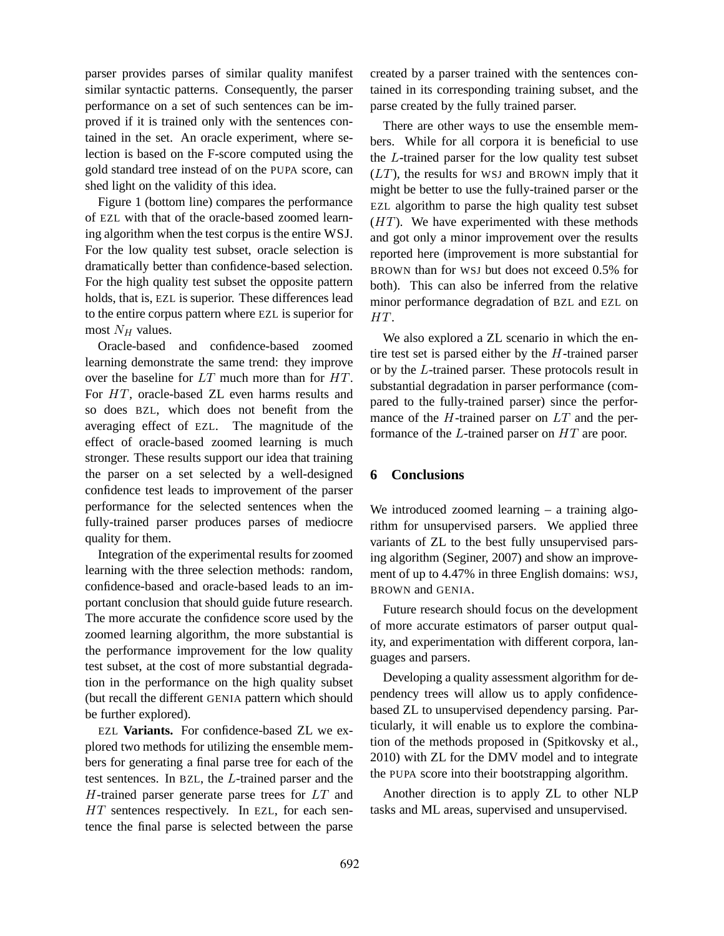parser provides parses of similar quality manifest similar syntactic patterns. Consequently, the parser performance on a set of such sentences can be improved if it is trained only with the sentences contained in the set. An oracle experiment, where selection is based on the F-score computed using the gold standard tree instead of on the PUPA score, can shed light on the validity of this idea.

Figure 1 (bottom line) compares the performance of EZL with that of the oracle-based zoomed learning algorithm when the test corpus is the entire WSJ. For the low quality test subset, oracle selection is dramatically better than confidence-based selection. For the high quality test subset the opposite pattern holds, that is, EZL is superior. These differences lead to the entire corpus pattern where EZL is superior for most  $N_H$  values.

Oracle-based and confidence-based zoomed learning demonstrate the same trend: they improve over the baseline for LT much more than for HT. For HT, oracle-based ZL even harms results and so does BZL, which does not benefit from the averaging effect of EZL. The magnitude of the effect of oracle-based zoomed learning is much stronger. These results support our idea that training the parser on a set selected by a well-designed confidence test leads to improvement of the parser performance for the selected sentences when the fully-trained parser produces parses of mediocre quality for them.

Integration of the experimental results for zoomed learning with the three selection methods: random, confidence-based and oracle-based leads to an important conclusion that should guide future research. The more accurate the confidence score used by the zoomed learning algorithm, the more substantial is the performance improvement for the low quality test subset, at the cost of more substantial degradation in the performance on the high quality subset (but recall the different GENIA pattern which should be further explored).

EZL **Variants.** For confidence-based ZL we explored two methods for utilizing the ensemble members for generating a final parse tree for each of the test sentences. In BZL, the L-trained parser and the H-trained parser generate parse trees for LT and HT sentences respectively. In EZL, for each sentence the final parse is selected between the parse created by a parser trained with the sentences contained in its corresponding training subset, and the parse created by the fully trained parser.

There are other ways to use the ensemble members. While for all corpora it is beneficial to use the L-trained parser for the low quality test subset  $(LT)$ , the results for WSJ and BROWN imply that it might be better to use the fully-trained parser or the EZL algorithm to parse the high quality test subset  $(HT)$ . We have experimented with these methods and got only a minor improvement over the results reported here (improvement is more substantial for BROWN than for WSJ but does not exceed 0.5% for both). This can also be inferred from the relative minor performance degradation of BZL and EZL on HT.

We also explored a ZL scenario in which the entire test set is parsed either by the  $H$ -trained parser or by the L-trained parser. These protocols result in substantial degradation in parser performance (compared to the fully-trained parser) since the performance of the  $H$ -trained parser on  $LT$  and the performance of the L-trained parser on HT are poor.

### **6 Conclusions**

We introduced zoomed learning – a training algorithm for unsupervised parsers. We applied three variants of ZL to the best fully unsupervised parsing algorithm (Seginer, 2007) and show an improvement of up to 4.47% in three English domains: WSJ, BROWN and GENIA.

Future research should focus on the development of more accurate estimators of parser output quality, and experimentation with different corpora, languages and parsers.

Developing a quality assessment algorithm for dependency trees will allow us to apply confidencebased ZL to unsupervised dependency parsing. Particularly, it will enable us to explore the combination of the methods proposed in (Spitkovsky et al., 2010) with ZL for the DMV model and to integrate the PUPA score into their bootstrapping algorithm.

Another direction is to apply ZL to other NLP tasks and ML areas, supervised and unsupervised.